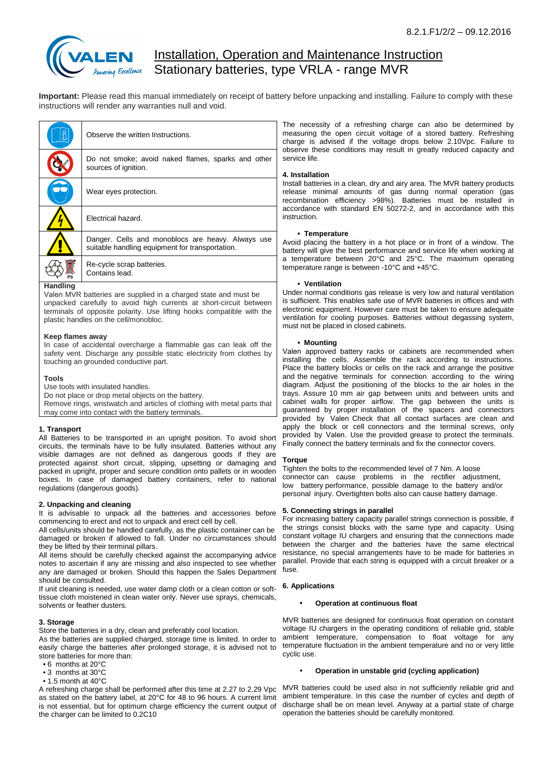

# **Installation, Operation and Maintenance Instruction** Stationary batteries, type VRLA - range MVR

**Important:** Please read this manual immediately on receipt of battery before unpacking and installing. Failure to comply with these instructions will render any warranties null and void.

|                 | Observe the written Instructions.                                                                    |
|-----------------|------------------------------------------------------------------------------------------------------|
|                 | Do not smoke; avoid naked flames, sparks and other<br>sources of ignition.                           |
|                 | Wear eyes protection.                                                                                |
|                 | Flectrical hazard.                                                                                   |
|                 | Danger. Cells and monoblocs are heavy. Always use<br>suitable handling equipment for transportation. |
|                 | Re-cycle scrap batteries.<br>Contains lead.                                                          |
| <b>Handling</b> |                                                                                                      |

Valen MVR batteries are supplied in a charged state and must be unpacked carefully to avoid high currents at short-circuit between terminals of opposite polarity. Use lifting hooks compatible with the plastic handles on the cell/monobloc.

## **Keep flames away**

In case of accidental overcharge a flammable gas can leak off the safety vent. Discharge any possible static electricity from clothes by touching an grounded conductive part.

## **Tools**

Use tools with insulated handles.

Do not place or drop metal objects on the battery.

Remove rings, wristwatch and articles of clothing with metal parts that may come into contact with the battery terminals.

## **1. Transport**

All Batteries to be transported in an upright position. To avoid short circuits, the terminals have to be fully insulated. Batteries without any visible damages are not defined as dangerous goods if they are protected against short circuit, slipping, upsetting or damaging and packed in upright, proper and secure condition onto pallets or in wooden boxes. In case of damaged battery containers, refer to national regulations (dangerous goods).

## **2. Unpacking and cleaning**

It is advisable to unpack all the batteries and accessories before commencing to erect and not to unpack and erect cell by cell.

All cells/units should be handled carefully, as the plastic container can be damaged or broken if allowed to fall. Under no circumstances should they be lifted by their terminal pillars.

All items should be carefully checked against the accompanying advice notes to ascertain if any are missing and also inspected to see whether any are damaged or broken. Should this happen the Sales Department should be consulted.

If unit cleaning is needed, use water damp cloth or a clean cotton or softtissue cloth moistened in clean water only. Never use sprays, chemicals, solvents or feather dusters.

# **3. Storage**

Store the batteries in a dry, clean and preferably cool location.

As the batteries are supplied charged, storage time is limited. In order to easily charge the batteries after prolonged storage, it is advised not to store batteries for more than:

- 6 months at 20°C
- 3 months at 30°C
- 1.5 month at 40°C

as stated on the battery label, at 20°C for 48 to 96 hours. A current limit is not essential, but for optimum charge efficiency the current output of the charger can be limited to 0.2C10

The necessity of a refreshing charge can also be determined by measuring the open circuit voltage of a stored battery. Refreshing charge is advised if the voltage drops below 2.10Vpc. Failure to observe these conditions may result in greatly reduced capacity and service life.

# **4. Installation**

Install batteries in a clean, dry and airy area. The MVR battery products release minimal amounts of gas during normal operation (gas recombination efficiency >98%). Batteries must be installed in accordance with standard EN 50272-2, and in accordance with this instruction.

## **• Temperature**

Avoid placing the battery in a hot place or in front of a window. The battery will give the best performance and service life when working at a temperature between 20°C and 25°C. The maximum operating temperature range is between -10°C and +45°C.

## **• Ventilation**

Under normal conditions gas release is very low and natural ventilation is sufficient. This enables safe use of MVR batteries in offices and with electronic equipment. However care must be taken to ensure adequate ventilation for cooling purposes. Batteries without degassing system, must not be placed in closed cabinets.

## **• Mounting**

Valen approved battery racks or cabinets are recommended when installing the cells. Assemble the rack according to instructions. Place the battery blocks or cells on the rack and arrange the positive and the negative terminals for connection according to the wiring diagram. Adjust the positioning of the blocks to the air holes in the trays. Assure 10 mm air gap between units and between units and cabinet walls for proper airflow. The gap between the units is guaranteed by proper installation of the spacers and connectors provided by Valen Check that all contact surfaces are clean and apply the block or cell connectors and the terminal screws, only provided by Valen. Use the provided grease to protect the terminals. Finally connect the battery terminals and fix the connector covers.

#### **Torque**

Tighten the bolts to the recommended level of 7 Nm. A loose connector can cause problems in the rectifier adjustment, low battery performance, possible damage to the battery and/or personal injury. Overtighten bolts also can cause battery damage.

## **5. Connecting strings in parallel**

For increasing battery capacity parallel strings connection is possible, if the strings consist blocks with the same type and capacity. Using constant voltage IU chargers and ensuring that the connections made between the charger and the batteries have the same electrical resistance, no special arrangements have to be made for batteries in parallel. Provide that each string is equipped with a circuit breaker or a fuse.

## **6. Applications**

#### • **Operation at continuous float**

MVR batteries are designed for continuous float operation on constant voltage IU chargers in the operating conditions of reliable grid, stable ambient temperature, compensation to float voltage for any temperature fluctuation in the ambient temperature and no or very little cyclic use.

## • **Operation in unstable grid (cycling application)**

A refreshing charge shall be performed after this time at 2.27 to 2.29 Vpc MVR batteries could be used also in not sufficiently reliable grid and ambient temperature. In this case the number of cycles and depth of discharge shall be on mean level. Anyway at a partial state of charge operation the batteries should be carefully monitored.